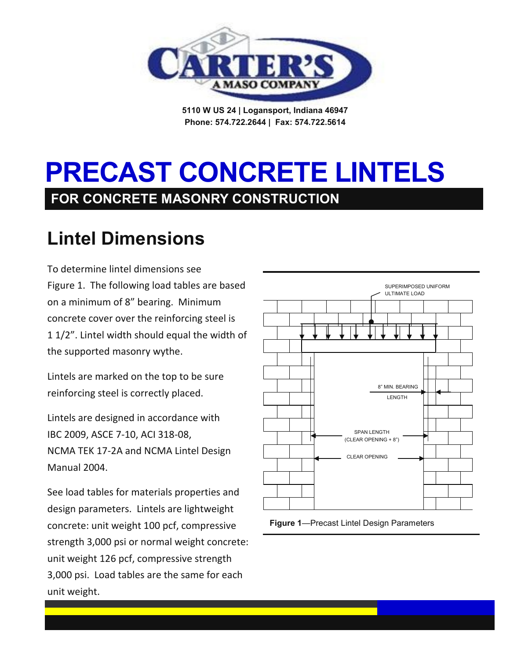

**5110 W US 24 | Logansport, Indiana 46947 Phone: 574.722.2644 | Fax: 574.722.5614**

# **PRECAST CONCRETE LINTELS FOR CONCRETE MASONRY CONSTRUCTION**

## **Lintel Dimensions**

To determine lintel dimensions see Figure 1. The following load tables are based on a minimum of 8" bearing. Minimum concrete cover over the reinforcing steel is 1 1/2". Lintel width should equal the width of the supported masonry wythe.

Lintels are marked on the top to be sure reinforcing steel is correctly placed.

Lintels are designed in accordance with IBC 2009, ASCE 7-10, ACI 318-08, NCMA TEK 17-2A and NCMA Lintel Design Manual 2004.

See load tables for materials properties and design parameters. Lintels are lightweight concrete: unit weight 100 pcf, compressive strength 3,000 psi or normal weight concrete: unit weight 126 pcf, compressive strength 3,000 psi. Load tables are the same for each unit weight.



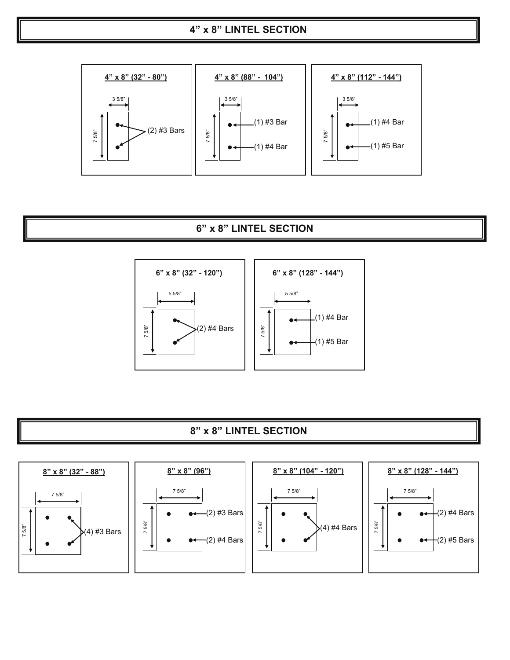

## **8" x 8" LINTEL SECTION**



## **6" x 8" LINTEL SECTION**



#### **4" x 8" LINTEL SECTION**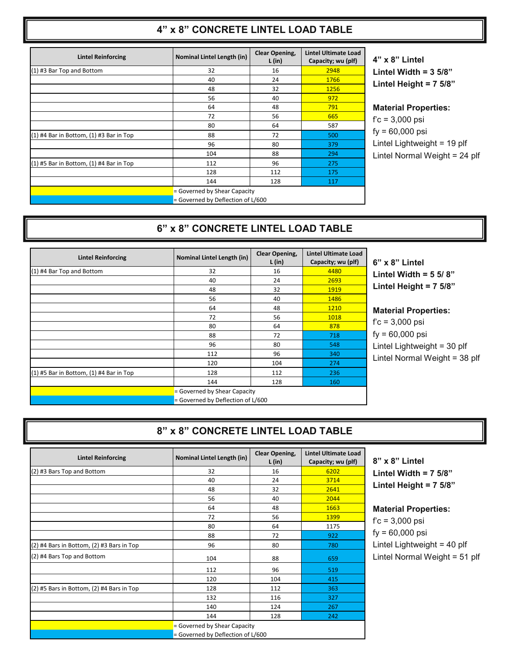## **4" x 8" CONCRETE LINTEL LOAD TABLE**

| <b>Lintel Reinforcing</b>                   | Nominal Lintel Length (in)   | Clear Opening,<br>L(in)           | <b>Lintel Ultimate Load</b><br>Capacity; wu (plf) | $\mathbf{4}^{\prime}$ |
|---------------------------------------------|------------------------------|-----------------------------------|---------------------------------------------------|-----------------------|
| (1) #3 Bar Top and Bottom                   | 32                           | 16                                | 2948                                              | L                     |
|                                             | 40                           | 24                                | 1766                                              |                       |
|                                             | 48                           | 32                                | 1256                                              |                       |
|                                             | 56                           | 40                                | 972                                               |                       |
|                                             | 64                           | 48                                | 791                                               | M                     |
|                                             | 72                           | 56                                | 665                                               | f'                    |
|                                             | 80                           | 64                                | 587                                               |                       |
| $(1)$ #4 Bar in Bottom, $(1)$ #3 Bar in Top | 88                           | 72                                | 500                                               | fy                    |
|                                             | 96                           | 80                                | 379                                               | Li                    |
|                                             | 104                          | 88                                | 294                                               | Li                    |
| $(1)$ #5 Bar in Bottom, $(1)$ #4 Bar in Top | 112                          | 96                                | 275                                               |                       |
|                                             | 128                          | 112                               | 175                                               |                       |
|                                             | 144                          | 128                               | 117                                               |                       |
|                                             | = Governed by Shear Capacity |                                   |                                                   |                       |
|                                             |                              | = Governed by Deflection of L/600 |                                                   |                       |

**4" x 8" Lintel Lintel Width = 3 5/8" Lintel Height = 7 5/8"**

**Material Properties:**  $c = 3,000$  psi

 $= 60,000$  psi intel Lightweight = 19 plf intel Normal Weight = 24 plf

## **6" x 8" CONCRETE LINTEL LOAD TABLE**

| <b>Lintel Reinforcing</b>                   | Nominal Lintel Length (in)   | Clear Opening,<br>L(in) | <b>Lintel Ultimate Load</b><br>Capacity; wu (plf) |
|---------------------------------------------|------------------------------|-------------------------|---------------------------------------------------|
| (1) #4 Bar Top and Bottom                   | 32                           | 16                      | 4480                                              |
|                                             | 40                           | 24                      | 2693                                              |
|                                             | 48                           | 32                      | 1919                                              |
|                                             | 56                           | 40                      | 1486                                              |
|                                             | 64                           | 48                      | 1210                                              |
|                                             | 72                           | 56                      | 1018                                              |
|                                             | 80                           | 64                      | 878                                               |
|                                             | 88                           | 72                      | 718                                               |
|                                             | 96                           | 80                      | 548                                               |
|                                             | 112                          | 96                      | 340                                               |
|                                             | 120                          | 104                     | 274                                               |
| $(1)$ #5 Bar in Bottom, $(1)$ #4 Bar in Top | 128                          | 112                     | 236                                               |
|                                             | 144                          | 128                     | 160                                               |
|                                             | = Governed by Shear Capacity |                         |                                                   |
|                                             |                              |                         |                                                   |

**6" x 8" Lintel Lintel Width = 5 5/ 8" Lintel Height = 7 5/8"**

**Material Properties:**  $c = 3,000$  psi y = 60,000 psi Lintel Lightweight = 30 plf Lintel Normal Weight = 38 plf

## **8" x 8" CONCRETE LINTEL LOAD TABLE**

| <b>Lintel Reinforcing</b>                     | Nominal Lintel Length (in)                                        | <b>Clear Opening,</b><br>L(in) | <b>Lintel Ultimate Load</b><br>Capacity; wu (plf) |  |
|-----------------------------------------------|-------------------------------------------------------------------|--------------------------------|---------------------------------------------------|--|
| (2) #3 Bars Top and Bottom                    | 32                                                                | 16                             | 6202                                              |  |
|                                               | 40                                                                | 24                             | 3714                                              |  |
|                                               | 48                                                                | 32                             | 2641                                              |  |
|                                               | 56                                                                | 40                             | 2044                                              |  |
|                                               | 64                                                                | 48                             | 1663                                              |  |
|                                               | 72                                                                | 56                             | 1399                                              |  |
|                                               | 80                                                                | 64                             | 1175                                              |  |
|                                               | 88                                                                | 72                             | 922                                               |  |
| $(2)$ #4 Bars in Bottom, $(2)$ #3 Bars in Top | 96                                                                | 80                             | 780                                               |  |
| (2) #4 Bars Top and Bottom                    | 104                                                               | 88                             | 659                                               |  |
|                                               | 112                                                               | 96                             | 519                                               |  |
|                                               | 120                                                               | 104                            | 415                                               |  |
| (2) #5 Bars in Bottom, (2) #4 Bars in Top     | 128                                                               | 112                            | 363                                               |  |
|                                               | 132                                                               | 116                            | 327                                               |  |
|                                               | 140                                                               | 124                            | 267                                               |  |
|                                               | 144                                                               | 128                            | 242                                               |  |
|                                               | = Governed by Shear Capacity<br>= Governed by Deflection of L/600 |                                |                                                   |  |

**8" x 8" Lintel Lintel Width = 7 5/8" Lintel Height = 7 5/8"**

#### **Material Properties:**

f'c = 3,000 psi fy = 60,000 psi Lintel Lightweight = 40 plf Lintel Normal Weight = 51 plf